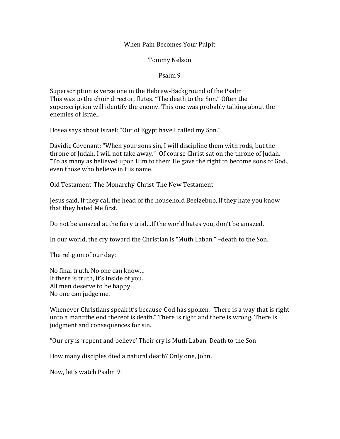#### When Pain Becomes Your Pulpit

Tommy Nelson

#### Psalm 9

Superscription is verse one in the Hebrew-Background of the Psalm This was to the choir director, flutes. "The death to the Son." Often the superscription will identify the enemy. This one was probably talking about the enemies of Israel.

Hosea says about Israel: "Out of Egypt have I called my Son."

Davidic Covenant: "When your sons sin, I will discipline them with rods, but the throne of Judah, I will not take away." Of course Christ sat on the throne of Judah. "To as many as believed upon Him to them He gave the right to become sons of God., even those who believe in His name.

Old Testament-The Monarchy-Christ-The New Testament

Jesus said, If they call the head of the household Beelzebub, if they hate you know that they hated Me first.

Do not be amazed at the fiery trial...If the world hates you, don't be amazed.

In our world, the cry toward the Christian is "Muth Laban." -death to the Son.

The religion of our day:

No final truth. No one can know... If there is truth, it's inside of you. All men deserve to be happy No one can judge me.

Whenever Christians speak it's because-God has spoken. "There is a way that is right unto a man=the end thereof is death." There is right and there is wrong. There is judgment and consequences for sin.

"Our cry is 'repent and believe' Their cry is Muth Laban: Death to the Son

How many disciples died a natural death? Only one, John.

Now, let's watch Psalm 9: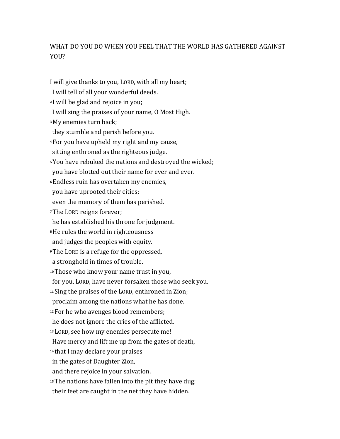# WHAT DO YOU DO WHEN YOU FEEL THAT THE WORLD HAS GATHERED AGAINST YOU?

I will give thanks to you, LORD, with all my heart; I will tell of all your wonderful deeds. <sup>2</sup> I will be glad and rejoice in you; I will sing the praises of your name, O Most High. <sup>3</sup>My enemies turn back; they stumble and perish before you. <sup>4</sup> For you have upheld my right and my cause, sitting enthroned as the righteous judge. <sup>5</sup> You have rebuked the nations and destroyed the wicked; you have blotted out their name for ever and ever. *<b>6*Endless ruin has overtaken my enemies, you have uprooted their cities; even the memory of them has perished. <sup>7</sup>The LORD reigns forever; he has established his throne for judgment. <sup>8</sup>He rules the world in righteousness and judges the peoples with equity. **Propherence** is a refuge for the oppressed, a stronghold in times of trouble. <sup>10</sup>Those who know your name trust in you, for you, LORD, have never forsaken those who seek you. <sup>11</sup> Sing the praises of the LORD, enthroned in Zion; proclaim among the nations what he has done. <sup>12</sup> For he who avenges blood remembers; he does not ignore the cries of the afflicted. <sup>13</sup> LORD, see how my enemies persecute me! Have mercy and lift me up from the gates of death, <sup>14</sup> that I may declare your praises in the gates of Daughter Zion, and there rejoice in your salvation. <sup>15</sup> The nations have fallen into the pit they have dug; their feet are caught in the net they have hidden.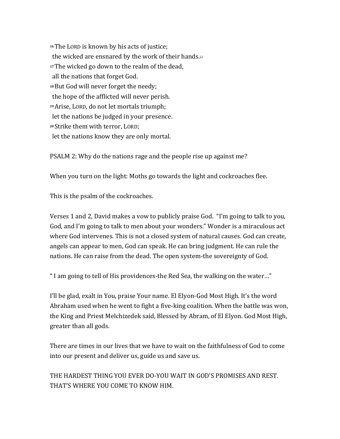<sup>16</sup>The LORD is known by his acts of justice; the wicked are ensnared by the work of their hands. $\Box$ <sup>17</sup>The wicked go down to the realm of the dead, all the nations that forget God. <sup>18</sup> But God will never forget the needy; the hope of the afflicted will never perish. <sup>19</sup> Arise, LORD, do not let mortals triumph; let the nations be judged in your presence. <sup>20</sup> Strike them with terror, LORD; let the nations know they are only mortal.

PSALM 2: Why do the nations rage and the people rise up against me?

When you turn on the light: Moths go towards the light and cockroaches flee.

This is the psalm of the cockroaches.

Verses 1 and 2, David makes a vow to publicly praise God. "I'm going to talk to you, God, and I'm going to talk to men about your wonders." Wonder is a miraculous act where God intervenes. This is not a closed system of natural causes. God can create, angels can appear to men, God can speak. He can bring judgment. He can rule the nations. He can raise from the dead. The open system-the sovereignty of God.

" I am going to tell of His providences-the Red Sea, the walking on the water..."

I'll be glad, exalt in You, praise Your name. El Elyon-God Most High. It's the word Abraham used when he went to fight a five-king coalition. When the battle was won, the King and Priest Melchizedek said, Blessed by Abram, of El Elyon. God Most High, greater than all gods.

There are times in our lives that we have to wait on the faithfulness of God to come into our present and deliver us, guide us and save us.

THE HARDEST THING YOU EVER DO-YOU WAIT IN GOD'S PROMISES AND REST. THAT'S WHERE YOU COME TO KNOW HIM.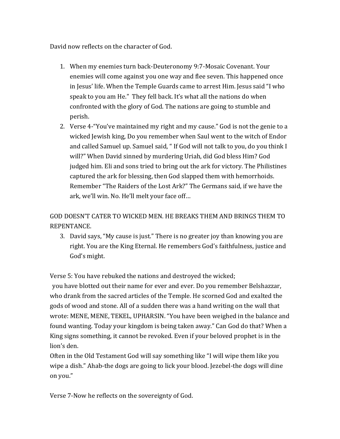David now reflects on the character of God.

- 1. When my enemies turn back-Deuteronomy 9:7-Mosaic Covenant. Your enemies will come against you one way and flee seven. This happened once in Jesus' life. When the Temple Guards came to arrest Him. Jesus said "I who speak to you am He." They fell back. It's what all the nations do when confronted with the glory of God. The nations are going to stumble and perish.
- 2. Verse 4-"You've maintained my right and my cause." God is not the genie to a wicked Jewish king, Do you remember when Saul went to the witch of Endor and called Samuel up. Samuel said, " If God will not talk to you, do you think I will?" When David sinned by murdering Uriah, did God bless Him? God judged him. Eli and sons tried to bring out the ark for victory. The Philistines captured the ark for blessing, then God slapped them with hemorrhoids. Remember "The Raiders of the Lost Ark?" The Germans said, if we have the ark, we'll win. No. He'll melt your face off...

### GOD DOESN'T CATER TO WICKED MEN. HE BREAKS THEM AND BRINGS THEM TO REPENTANCE.

3. David says, "My cause is just." There is no greater joy than knowing you are right. You are the King Eternal. He remembers God's faithfulness, justice and God's might.

Verse 5: You have rebuked the nations and destroyed the wicked;

you have blotted out their name for ever and ever. Do you remember Belshazzar, who drank from the sacred articles of the Temple. He scorned God and exalted the gods of wood and stone. All of a sudden there was a hand writing on the wall that wrote: MENE, MENE, TEKEL, UPHARSIN. "You have been weighed in the balance and found wanting. Today your kingdom is being taken away." Can God do that? When a King signs something, it cannot be revoked. Even if your beloved prophet is in the lion's den.

Often in the Old Testament God will say something like "I will wipe them like you wipe a dish." Ahab-the dogs are going to lick your blood. Jezebel-the dogs will dine on you." 

Verse 7-Now he reflects on the sovereignty of God.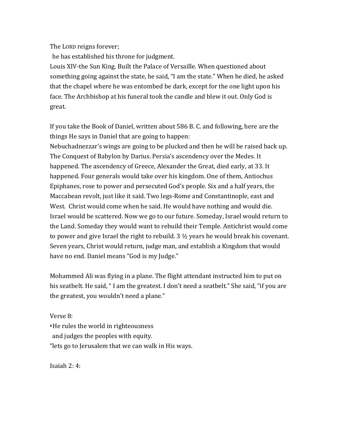The LORD reigns forever;

he has established his throne for judgment.

Louis XIV-the Sun King. Built the Palace of Versaille. When questioned about something going against the state, he said, "I am the state." When he died, he asked that the chapel where he was entombed be dark, except for the one light upon his face. The Archbishop at his funeral took the candle and blew it out. Only God is great. 

If you take the Book of Daniel, written about 586 B. C. and following, here are the things He says in Daniel that are going to happen:

Nebuchadnezzar's wings are going to be plucked and then he will be raised back up. The Conquest of Babylon by Darius. Persia's ascendency over the Medes. It happened. The ascendency of Greece, Alexander the Great, died early, at 33. It happened. Four generals would take over his kingdom. One of them, Antiochus Epiphanes, rose to power and persecuted God's people. Six and a half years, the Maccabean revolt, just like it said. Two legs-Rome and Constantinople, east and West. Christ would come when he said. He would have nothing and would die. Israel would be scattered. Now we go to our future. Someday, Israel would return to the Land. Someday they would want to rebuild their Temple. Antichrist would come to power and give Israel the right to rebuild.  $3\frac{1}{2}$  years he would break his covenant. Seven years, Christ would return, judge man, and establish a Kingdom that would have no end. Daniel means "God is my Judge."

Mohammed Ali was flying in a plane. The flight attendant instructed him to put on his seatbelt. He said, "I am the greatest. I don't need a seatbelt." She said, "if you are the greatest, you wouldn't need a plane."

Verse 8:

<sup>8</sup>He rules the world in righteousness

and judges the peoples with equity.

"lets go to Jerusalem that we can walk in His ways.

Isaiah  $2:4:$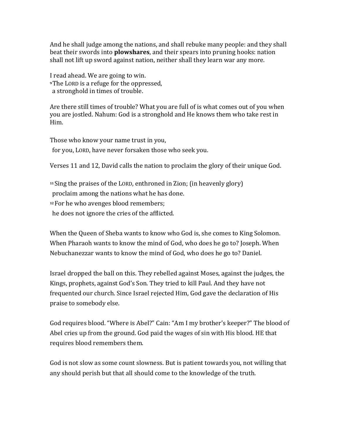And he shall judge among the nations, and shall rebuke many people: and they shall beat their swords into **plowshares**, and their spears into pruning hooks: nation shall not lift up sword against nation, neither shall they learn war any more.

I read ahead. We are going to win. **Propherence LORD** is a refuge for the oppressed, a stronghold in times of trouble.

Are there still times of trouble? What you are full of is what comes out of you when you are jostled. Nahum: God is a stronghold and He knows them who take rest in Him. 

Those who know your name trust in you, for you, LORD, have never forsaken those who seek you.

Verses 11 and 12, David calls the nation to proclaim the glory of their unique God.

<sup>11</sup> Sing the praises of the LORD, enthroned in Zion; (in heavenly glory)

proclaim among the nations what he has done.

<sup>12</sup> For he who avenges blood remembers;

he does not ignore the cries of the afflicted.

When the Queen of Sheba wants to know who God is, she comes to King Solomon. When Pharaoh wants to know the mind of God, who does he go to? Joseph. When Nebuchanezzar wants to know the mind of God, who does he go to? Daniel.

Israel dropped the ball on this. They rebelled against Moses, against the judges, the Kings, prophets, against God's Son. They tried to kill Paul. And they have not frequented our church. Since Israel rejected Him, God gave the declaration of His praise to somebody else.

God requires blood. "Where is Abel?" Cain: "Am I my brother's keeper?" The blood of Abel cries up from the ground. God paid the wages of sin with His blood. HE that requires blood remembers them.

God is not slow as some count slowness. But is patient towards you, not willing that any should perish but that all should come to the knowledge of the truth.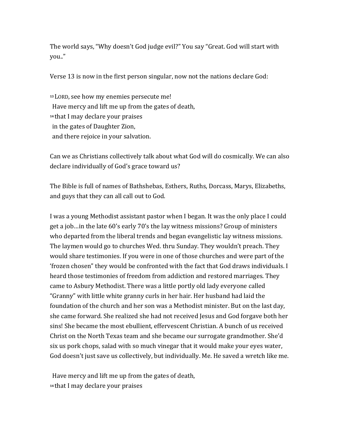The world says, "Why doesn't God judge evil?" You say "Great. God will start with you.."

Verse 13 is now in the first person singular, now not the nations declare God:

<sup>13</sup> LORD, see how my enemies persecute me! Have mercy and lift me up from the gates of death, <sup>14</sup> that I may declare your praises in the gates of Daughter Zion, and there rejoice in your salvation.

Can we as Christians collectively talk about what God will do cosmically. We can also declare individually of God's grace toward us?

The Bible is full of names of Bathshebas, Esthers, Ruths, Dorcass, Marys, Elizabeths, and guys that they can all call out to God.

I was a young Methodist assistant pastor when I began. It was the only place I could get a job…in the late 60's early 70's the lay witness missions? Group of ministers who departed from the liberal trends and began evangelistic lay witness missions. The laymen would go to churches Wed. thru Sunday. They wouldn't preach. They would share testimonies. If you were in one of those churches and were part of the 'frozen chosen" they would be confronted with the fact that God draws individuals. I heard those testimonies of freedom from addiction and restored marriages. They came to Asbury Methodist. There was a little portly old lady everyone called "Granny" with little white granny curls in her hair. Her husband had laid the foundation of the church and her son was a Methodist minister. But on the last day, she came forward. She realized she had not received Jesus and God forgave both her sins! She became the most ebullient, effervescent Christian. A bunch of us received Christ on the North Texas team and she became our surrogate grandmother. She'd six us pork chops, salad with so much vinegar that it would make your eyes water, God doesn't just save us collectively, but individually. Me. He saved a wretch like me.

Have mercy and lift me up from the gates of death, <sup>14</sup> that I may declare your praises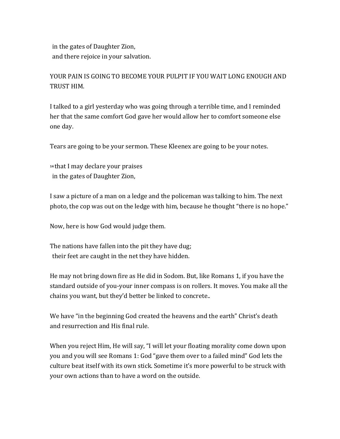in the gates of Daughter Zion, and there rejoice in your salvation.

# YOUR PAIN IS GOING TO BECOME YOUR PULPIT IF YOU WAIT LONG ENOUGH AND TRUST HIM.

I talked to a girl yesterday who was going through a terrible time, and I reminded her that the same comfort God gave her would allow her to comfort someone else one day.

Tears are going to be your sermon. These Kleenex are going to be your notes.

<sup>14</sup> that I may declare your praises in the gates of Daughter Zion,

I saw a picture of a man on a ledge and the policeman was talking to him. The next photo, the cop was out on the ledge with him, because he thought "there is no hope."

Now, here is how God would judge them.

The nations have fallen into the pit they have dug; their feet are caught in the net they have hidden.

He may not bring down fire as He did in Sodom. But, like Romans 1, if you have the standard outside of you-your inner compass is on rollers. It moves. You make all the chains you want, but they'd better be linked to concrete..

We have "in the beginning God created the heavens and the earth" Christ's death and resurrection and His final rule.

When you reject Him, He will say, "I will let your floating morality come down upon you and you will see Romans 1: God "gave them over to a failed mind" God lets the culture beat itself with its own stick. Sometime it's more powerful to be struck with your own actions than to have a word on the outside.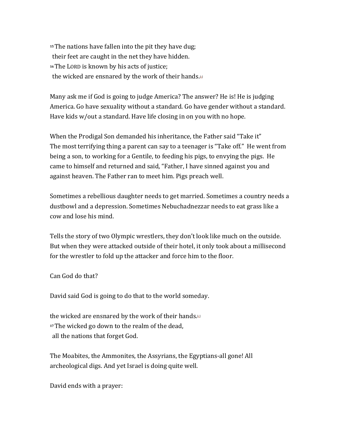<sup>15</sup>The nations have fallen into the pit they have dug; their feet are caught in the net they have hidden. <sup>16</sup>The LORD is known by his acts of justice; the wicked are ensnared by the work of their hands.<sup>[6]</sup>

Many ask me if God is going to judge America? The answer? He is! He is judging America. Go have sexuality without a standard. Go have gender without a standard. Have kids  $w/$ out a standard. Have life closing in on you with no hope.

When the Prodigal Son demanded his inheritance, the Father said "Take it" The most terrifying thing a parent can say to a teenager is "Take off." He went from being a son, to working for a Gentile, to feeding his pigs, to envying the pigs. He came to himself and returned and said, "Father, I have sinned against you and against heaven. The Father ran to meet him. Pigs preach well.

Sometimes a rebellious daughter needs to get married. Sometimes a country needs a dustbowl and a depression. Sometimes Nebuchadnezzar needs to eat grass like a cow and lose his mind. 

Tells the story of two Olympic wrestlers, they don't look like much on the outside. But when they were attacked outside of their hotel, it only took about a millisecond for the wrestler to fold up the attacker and force him to the floor.

Can God do that? 

David said God is going to do that to the world someday.

the wicked are ensnared by the work of their hands. $\mathbb{E}$ <sup>17</sup>The wicked go down to the realm of the dead, all the nations that forget God.

The Moabites, the Ammonites, the Assyrians, the Egyptians-all gone! All archeological digs. And yet Israel is doing quite well.

David ends with a prayer: